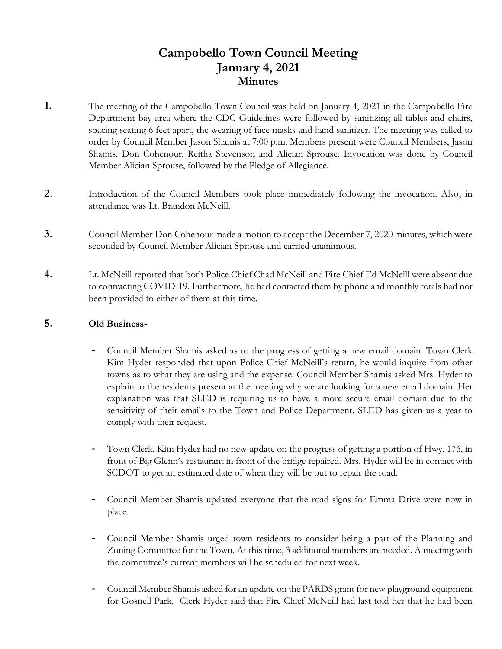# **Campobello Town Council Meeting January 4, 2021 Minutes**

- **1.** The meeting of the Campobello Town Council was held on January 4, 2021 in the Campobello Fire Department bay area where the CDC Guidelines were followed by sanitizing all tables and chairs, spacing seating 6 feet apart, the wearing of face masks and hand sanitizer. The meeting was called to order by Council Member Jason Shamis at 7:00 p.m. Members present were Council Members, Jason Shamis, Don Cohenour, Reitha Stevenson and Alician Sprouse. Invocation was done by Council Member Alician Sprouse, followed by the Pledge of Allegiance.
- **2.** Introduction of the Council Members took place immediately following the invocation. Also, in attendance was Lt. Brandon McNeill.
- **3.** Council Member Don Cohenour made a motion to accept the December 7, 2020 minutes, which were seconded by Council Member Alician Sprouse and carried unanimous.
- **4.** Lt. McNeill reported that both Police Chief Chad McNeill and Fire Chief Ed McNeill were absent due to contracting COVID-19. Furthermore, he had contacted them by phone and monthly totals had not been provided to either of them at this time.

# **5. Old Business-**

- Council Member Shamis asked as to the progress of getting a new email domain. Town Clerk Kim Hyder responded that upon Police Chief McNeill's return, he would inquire from other towns as to what they are using and the expense. Council Member Shamis asked Mrs. Hyder to explain to the residents present at the meeting why we are looking for a new email domain. Her explanation was that SLED is requiring us to have a more secure email domain due to the sensitivity of their emails to the Town and Police Department. SLED has given us a year to comply with their request.
- Town Clerk, Kim Hyder had no new update on the progress of getting a portion of Hwy. 176, in front of Big Glenn's restaurant in front of the bridge repaired. Mrs. Hyder will be in contact with SCDOT to get an estimated date of when they will be out to repair the road.
- Council Member Shamis updated everyone that the road signs for Emma Drive were now in place.
- Council Member Shamis urged town residents to consider being a part of the Planning and Zoning Committee for the Town. At this time, 3 additional members are needed. A meeting with the committee's current members will be scheduled for next week.
- Council Member Shamis asked for an update on the PARDS grant for new playground equipment for Gosnell Park. Clerk Hyder said that Fire Chief McNeill had last told her that he had been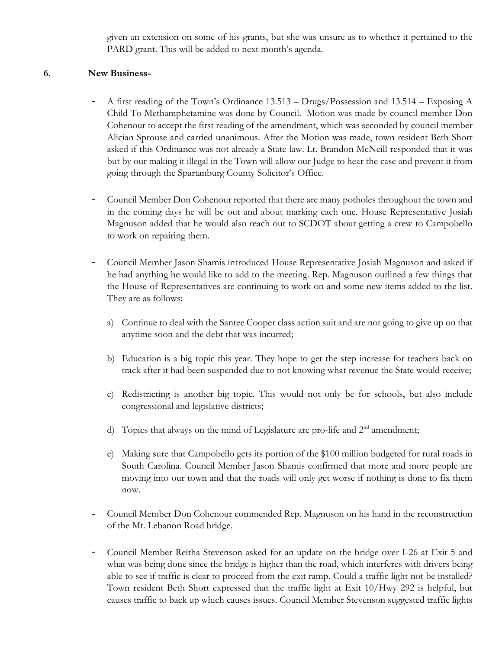given an extension on some of his grants, but she was unsure as to whether it pertained to the PARD grant. This will be added to next month's agenda.

## **6. New Business-**

- A first reading of the Town's Ordinance 13.513 Drugs/Possession and 13.514 Exposing A Child To Methamphetamine was done by Council. Motion was made by council member Don Cohenour to accept the first reading of the amendment, which was seconded by council member Alician Sprouse and carried unanimous. After the Motion was made, town resident Beth Short asked if this Ordinance was not already a State law. Lt. Brandon McNeill responded that it was but by our making it illegal in the Town will allow our Judge to hear the case and prevent it from going through the Spartanburg County Solicitor's Office.
- Council Member Don Cohenour reported that there are many potholes throughout the town and in the coming days he will be out and about marking each one. House Representative Josiah Magnuson added that he would also reach out to SCDOT about getting a crew to Campobello to work on repairing them.
- Council Member Jason Shamis introduced House Representative Josiah Magnuson and asked if he had anything he would like to add to the meeting. Rep. Magnuson outlined a few things that the House of Representatives are continuing to work on and some new items added to the list. They are as follows:
	- a) Continue to deal with the Santee Cooper class action suit and are not going to give up on that anytime soon and the debt that was incurred;
	- b) Education is a big topic this year. They hope to get the step increase for teachers back on track after it had been suspended due to not knowing what revenue the State would receive;
	- c) Redistricting is another big topic. This would not only be for schools, but also include congressional and legislative districts;
	- d) Topics that always on the mind of Legislature are pro-life and  $2<sup>nd</sup>$  amendment;
	- e) Making sure that Campobello gets its portion of the \$100 million budgeted for rural roads in South Carolina. Council Member Jason Shamis confirmed that more and more people are moving into our town and that the roads will only get worse if nothing is done to fix them now.
- **-** Council Member Don Cohenour commended Rep. Magnuson on his hand in the reconstruction of the Mt. Lebanon Road bridge.
- Council Member Reitha Stevenson asked for an update on the bridge over I-26 at Exit 5 and what was being done since the bridge is higher than the road, which interferes with drivers being able to see if traffic is clear to proceed from the exit ramp. Could a traffic light not be installed? Town resident Beth Short expressed that the traffic light at Exit 10/Hwy 292 is helpful, but causes traffic to back up which causes issues. Council Member Stevenson suggested traffic lights